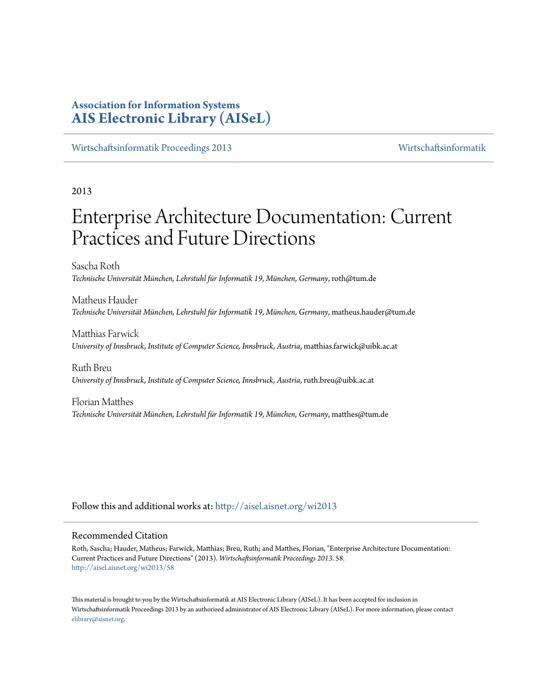# **Association for Information Systems [AIS Electronic Library \(AISeL\)](http://aisel.aisnet.org?utm_source=aisel.aisnet.org%2Fwi2013%2F58&utm_medium=PDF&utm_campaign=PDFCoverPages)**

[Wirtschaftsinformatik Proceedings 2013](http://aisel.aisnet.org/wi2013?utm_source=aisel.aisnet.org%2Fwi2013%2F58&utm_medium=PDF&utm_campaign=PDFCoverPages) [Wirtschaftsinformatik](http://aisel.aisnet.org/wi?utm_source=aisel.aisnet.org%2Fwi2013%2F58&utm_medium=PDF&utm_campaign=PDFCoverPages)

# 2013

# Enterprise Architecture Documentation: Current Practices and Future Directions

Sascha Roth *Technische Universität München, Lehrstuhl für Informatik 19, München, Germany*, roth@tum.de

Matheus Hauder *Technische Universität München, Lehrstuhl für Informatik 19, München, Germany*, matheus.hauder@tum.de

Matthias Farwick *University of Innsbruck, Institute of Computer Science, Innsbruck, Austria*, matthias.farwick@uibk.ac.at

Ruth Breu *University of Innsbruck, Institute of Computer Science, Innsbruck, Austria*, ruth.breu@uibk.ac.at

Florian Matthes *Technische Universität München, Lehrstuhl für Informatik 19, München, Germany*, matthes@tum.de

Follow this and additional works at: [http://aisel.aisnet.org/wi2013](http://aisel.aisnet.org/wi2013?utm_source=aisel.aisnet.org%2Fwi2013%2F58&utm_medium=PDF&utm_campaign=PDFCoverPages)

#### Recommended Citation

Roth, Sascha; Hauder, Matheus; Farwick, Matthias; Breu, Ruth; and Matthes, Florian, "Enterprise Architecture Documentation: Current Practices and Future Directions" (2013). *Wirtschaftsinformatik Proceedings 2013*. 58. [http://aisel.aisnet.org/wi2013/58](http://aisel.aisnet.org/wi2013/58?utm_source=aisel.aisnet.org%2Fwi2013%2F58&utm_medium=PDF&utm_campaign=PDFCoverPages)

This material is brought to you by the Wirtschaftsinformatik at AIS Electronic Library (AISeL). It has been accepted for inclusion in Wirtschaftsinformatik Proceedings 2013 by an authorized administrator of AIS Electronic Library (AISeL). For more information, please contact [elibrary@aisnet.org.](mailto:elibrary@aisnet.org%3E)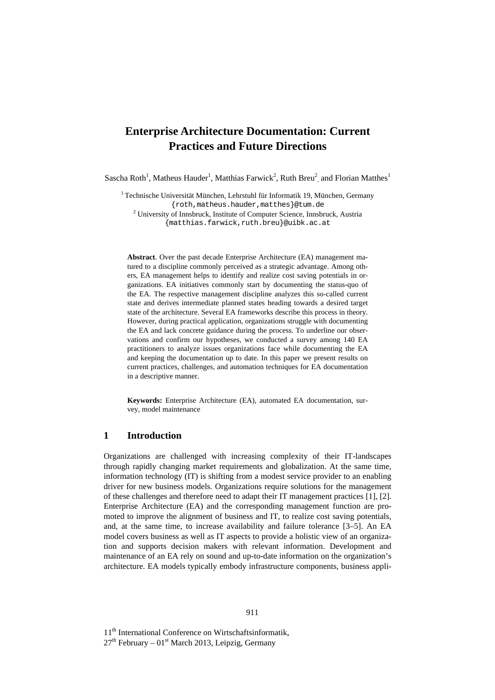# **Enterprise Architecture Documentation: Current Practices and Future Directions**

Sascha Roth<sup>1</sup>, Matheus Hauder<sup>1</sup>, Matthias Farwick<sup>2</sup>, Ruth Breu<sup>2</sup>, and Florian Matthes<sup>1</sup>

<sup>1</sup> Technische Universität München, Lehrstuhl für Informatik 19, München, Germany {roth,matheus.hauder,matthes}@tum.de <sup>2</sup> University of Innsbruck, Institute of Computer Science, Innsbruck, Austria {matthias.farwick,ruth.breu}@uibk.ac.at

**Abstract**. Over the past decade Enterprise Architecture (EA) management matured to a discipline commonly perceived as a strategic advantage. Among others, EA management helps to identify and realize cost saving potentials in organizations. EA initiatives commonly start by documenting the status-quo of the EA. The respective management discipline analyzes this so-called current state and derives intermediate planned states heading towards a desired target state of the architecture. Several EA frameworks describe this process in theory. However, during practical application, organizations struggle with documenting the EA and lack concrete guidance during the process. To underline our observations and confirm our hypotheses, we conducted a survey among 140 EA practitioners to analyze issues organizations face while documenting the EA and keeping the documentation up to date. In this paper we present results on current practices, challenges, and automation techniques for EA documentation in a descriptive manner.

**Keywords:** Enterprise Architecture (EA), automated EA documentation, survey, model maintenance

#### **1 Introduction**

Organizations are challenged with increasing complexity of their IT-landscapes through rapidly changing market requirements and globalization. At the same time, information technology (IT) is shifting from a modest service provider to an enabling driver for new business models. Organizations require solutions for the management of these challenges and therefore need to adapt their IT management practices [1], [2]. Enterprise Architecture (EA) and the corresponding management function are promoted to improve the alignment of business and IT, to realize cost saving potentials, and, at the same time, to increase availability and failure tolerance [3–5]. An EA model covers business as well as IT aspects to provide a holistic view of an organization and supports decision makers with relevant information. Development and maintenance of an EA rely on sound and up-to-date information on the organization's architecture. EA models typically embody infrastructure components, business appli-

11<sup>th</sup> International Conference on Wirtschaftsinformatik,

 $27<sup>th</sup>$  February – 01<sup>st</sup> March 2013, Leipzig, Germany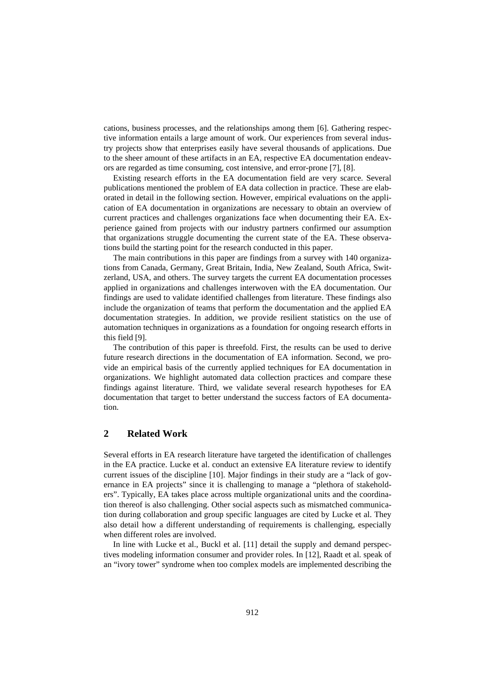cations, business processes, and the relationships among them [6]. Gathering respective information entails a large amount of work. Our experiences from several industry projects show that enterprises easily have several thousands of applications. Due to the sheer amount of these artifacts in an EA, respective EA documentation endeavors are regarded as time consuming, cost intensive, and error-prone [7], [8].

Existing research efforts in the EA documentation field are very scarce. Several publications mentioned the problem of EA data collection in practice. These are elaborated in detail in the following section. However, empirical evaluations on the application of EA documentation in organizations are necessary to obtain an overview of current practices and challenges organizations face when documenting their EA. Experience gained from projects with our industry partners confirmed our assumption that organizations struggle documenting the current state of the EA. These observations build the starting point for the research conducted in this paper.

The main contributions in this paper are findings from a survey with 140 organizations from Canada, Germany, Great Britain, India, New Zealand, South Africa, Switzerland, USA, and others. The survey targets the current EA documentation processes applied in organizations and challenges interwoven with the EA documentation. Our findings are used to validate identified challenges from literature. These findings also include the organization of teams that perform the documentation and the applied EA documentation strategies. In addition, we provide resilient statistics on the use of automation techniques in organizations as a foundation for ongoing research efforts in this field [9].

The contribution of this paper is threefold. First, the results can be used to derive future research directions in the documentation of EA information. Second, we provide an empirical basis of the currently applied techniques for EA documentation in organizations. We highlight automated data collection practices and compare these findings against literature. Third, we validate several research hypotheses for EA documentation that target to better understand the success factors of EA documentation.

# **2 Related Work**

Several efforts in EA research literature have targeted the identification of challenges in the EA practice. Lucke et al. conduct an extensive EA literature review to identify current issues of the discipline [10]. Major findings in their study are a "lack of governance in EA projects" since it is challenging to manage a "plethora of stakeholders". Typically, EA takes place across multiple organizational units and the coordination thereof is also challenging. Other social aspects such as mismatched communication during collaboration and group specific languages are cited by Lucke et al. They also detail how a different understanding of requirements is challenging, especially when different roles are involved.

In line with Lucke et al., Buckl et al. [11] detail the supply and demand perspectives modeling information consumer and provider roles. In [12], Raadt et al. speak of an "ivory tower" syndrome when too complex models are implemented describing the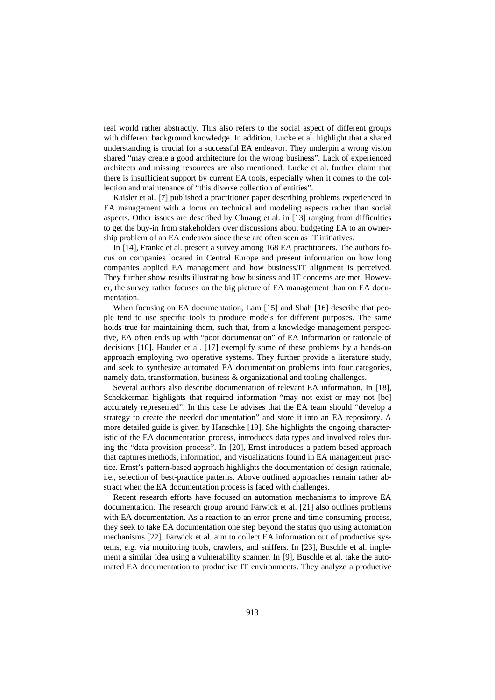real world rather abstractly. This also refers to the social aspect of different groups with different background knowledge. In addition, Lucke et al. highlight that a shared understanding is crucial for a successful EA endeavor. They underpin a wrong vision shared "may create a good architecture for the wrong business". Lack of experienced architects and missing resources are also mentioned. Lucke et al. further claim that there is insufficient support by current EA tools, especially when it comes to the collection and maintenance of "this diverse collection of entities".

Kaisler et al. [7] published a practitioner paper describing problems experienced in EA management with a focus on technical and modeling aspects rather than social aspects. Other issues are described by Chuang et al. in [13] ranging from difficulties to get the buy-in from stakeholders over discussions about budgeting EA to an ownership problem of an EA endeavor since these are often seen as IT initiatives.

In [14], Franke et al. present a survey among 168 EA practitioners. The authors focus on companies located in Central Europe and present information on how long companies applied EA management and how business/IT alignment is perceived. They further show results illustrating how business and IT concerns are met. However, the survey rather focuses on the big picture of EA management than on EA documentation.

When focusing on EA documentation, Lam [15] and Shah [16] describe that people tend to use specific tools to produce models for different purposes. The same holds true for maintaining them, such that, from a knowledge management perspective, EA often ends up with "poor documentation" of EA information or rationale of decisions [10]. Hauder et al. [17] exemplify some of these problems by a hands-on approach employing two operative systems. They further provide a literature study, and seek to synthesize automated EA documentation problems into four categories, namely data, transformation, business & organizational and tooling challenges.

Several authors also describe documentation of relevant EA information. In [18], Schekkerman highlights that required information "may not exist or may not [be] accurately represented". In this case he advises that the EA team should "develop a strategy to create the needed documentation" and store it into an EA repository. A more detailed guide is given by Hanschke [19]. She highlights the ongoing characteristic of the EA documentation process, introduces data types and involved roles during the "data provision process". In [20], Ernst introduces a pattern-based approach that captures methods, information, and visualizations found in EA management practice. Ernst's pattern-based approach highlights the documentation of design rationale, i.e., selection of best-practice patterns. Above outlined approaches remain rather abstract when the EA documentation process is faced with challenges.

Recent research efforts have focused on automation mechanisms to improve EA documentation. The research group around Farwick et al. [21] also outlines problems with EA documentation. As a reaction to an error-prone and time-consuming process, they seek to take EA documentation one step beyond the status quo using automation mechanisms [22]. Farwick et al. aim to collect EA information out of productive systems, e.g. via monitoring tools, crawlers, and sniffers. In [23], Buschle et al. implement a similar idea using a vulnerability scanner. In [9], Buschle et al. take the automated EA documentation to productive IT environments. They analyze a productive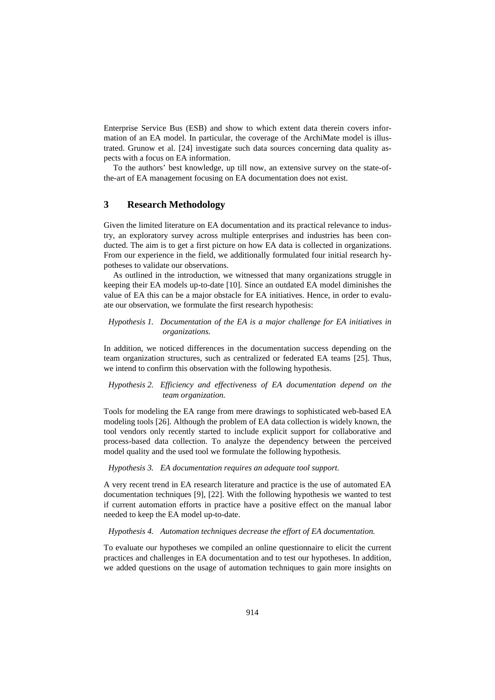Enterprise Service Bus (ESB) and show to which extent data therein covers information of an EA model. In particular, the coverage of the ArchiMate model is illustrated. Grunow et al. [24] investigate such data sources concerning data quality aspects with a focus on EA information.

To the authors' best knowledge, up till now, an extensive survey on the state-ofthe-art of EA management focusing on EA documentation does not exist.

# **3 Research Methodology**

Given the limited literature on EA documentation and its practical relevance to industry, an exploratory survey across multiple enterprises and industries has been conducted. The aim is to get a first picture on how EA data is collected in organizations. From our experience in the field, we additionally formulated four initial research hypotheses to validate our observations.

As outlined in the introduction, we witnessed that many organizations struggle in keeping their EA models up-to-date [10]. Since an outdated EA model diminishes the value of EA this can be a major obstacle for EA initiatives. Hence, in order to evaluate our observation, we formulate the first research hypothesis:

*Hypothesis 1. Documentation of the EA is a major challenge for EA initiatives in organizations.*

In addition, we noticed differences in the documentation success depending on the team organization structures, such as centralized or federated EA teams [25]. Thus, we intend to confirm this observation with the following hypothesis.

*Hypothesis 2. Efficiency and effectiveness of EA documentation depend on the team organization.*

Tools for modeling the EA range from mere drawings to sophisticated web-based EA modeling tools [26]. Although the problem of EA data collection is widely known, the tool vendors only recently started to include explicit support for collaborative and process-based data collection. To analyze the dependency between the perceived model quality and the used tool we formulate the following hypothesis.

*Hypothesis 3. EA documentation requires an adequate tool support.*

A very recent trend in EA research literature and practice is the use of automated EA documentation techniques [9], [22]. With the following hypothesis we wanted to test if current automation efforts in practice have a positive effect on the manual labor needed to keep the EA model up-to-date.

*Hypothesis 4. Automation techniques decrease the effort of EA documentation.*

To evaluate our hypotheses we compiled an online questionnaire to elicit the current practices and challenges in EA documentation and to test our hypotheses. In addition, we added questions on the usage of automation techniques to gain more insights on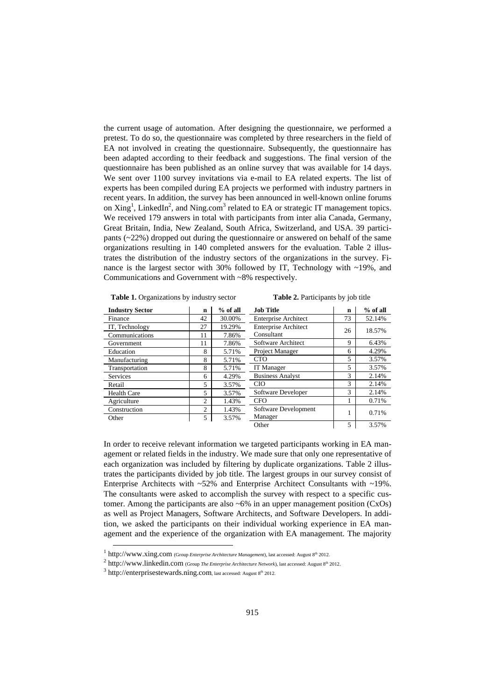the current usage of automation. After designing the questionnaire, we performed a pretest. To do so, the questionnaire was completed by three researchers in the field of EA not involved in creating the questionnaire. Subsequently, the questionnaire has been adapted according to their feedback and suggestions. The final version of the questionnaire has been published as an online survey that was available for 14 days. We sent over 1100 survey invitations via e-mail to EA related experts. The list of experts has been compiled during EA projects we performed with industry partners in recent years. In addition, the survey has been announced in well-known online forums on Xing<sup>1</sup>, LinkedIn<sup>2</sup>, and Ning.com<sup>3</sup> related to EA or strategic IT management topics. We received 179 answers in total with participants from inter alia Canada, Germany, Great Britain, India, New Zealand, South Africa, Switzerland, and USA. 39 participants  $\left(\frac{22\%}{\mathrm{R}}\right)$  dropped out during the questionnaire or answered on behalf of the same organizations resulting in 140 completed answers for the evaluation. Table 2 illustrates the distribution of the industry sectors of the organizations in the survey. Finance is the largest sector with 30% followed by IT, Technology with ~19%, and Communications and Government with ~8% respectively.

| Table 1. Organizations by industry sector |  |  |  |  |  |
|-------------------------------------------|--|--|--|--|--|
|-------------------------------------------|--|--|--|--|--|

**Table 2.** Participants by job title

| <b>Industry Sector</b> | n              | $%$ of all | <b>Job Title</b>            | $\mathbf n$ | $%$ of all |
|------------------------|----------------|------------|-----------------------------|-------------|------------|
| Finance                | 42             | 30.00%     | <b>Enterprise Architect</b> | 73          | 52.14%     |
| IT, Technology         | 27             | 19.29%     | <b>Enterprise Architect</b> | 26          | 18.57%     |
| Communications         | 11             | 7.86%      | Consultant                  |             |            |
| Government             | 11             | 7.86%      | Software Architect          | 9           | 6.43%      |
| Education              | 8              | 5.71%      | Project Manager             | 6           | 4.29%      |
| Manufacturing          | 8              | 5.71%      | <b>CTO</b>                  | 5           | 3.57%      |
| Transportation         | 8              | 5.71%      | IT Manager                  | 5           | 3.57%      |
| <b>Services</b>        | 6              | 4.29%      | <b>Business Analyst</b>     | 3           | 2.14%      |
| Retail                 | 5              | 3.57%      | <b>CIO</b>                  | 3           | 2.14%      |
| <b>Health Care</b>     | 5              | 3.57%      | Software Developer          | 3           | 2.14%      |
| Agriculture            | 2              | 1.43%      | <b>CFO</b>                  |             | 0.71%      |
| Construction           | $\overline{c}$ | 1.43%      | Software Development        |             | 0.71%      |
| Other                  | 5              | 3.57%      | Manager                     |             |            |
|                        |                |            | Other                       | 5           | 3.57%      |

In order to receive relevant information we targeted participants working in EA management or related fields in the industry. We made sure that only one representative of each organization was included by filtering by duplicate organizations. Table 2 illustrates the participants divided by job title. The largest groups in our survey consist of Enterprise Architects with ~52% and Enterprise Architect Consultants with ~19%. The consultants were asked to accomplish the survey with respect to a specific customer. Among the participants are also  $~6\%$  in an upper management position (CxOs) as well as Project Managers, Software Architects, and Software Developers. In addition, we asked the participants on their individual working experience in EA management and the experience of the organization with EA management. The majority

j

<sup>&</sup>lt;sup>1</sup> http://www.xing.com (Group *Enterprise Architecture Management*), last accessed: August 8<sup>th</sup> 2012.

<sup>&</sup>lt;sup>2</sup> http://www.linkedin.com (Group *The Enterprise Architecture Network*), last accessed: August 8<sup>th</sup> 2012.

 $3$  http://enterprisestewards.ning.com, last accessed: August  $8<sup>th</sup>$  2012.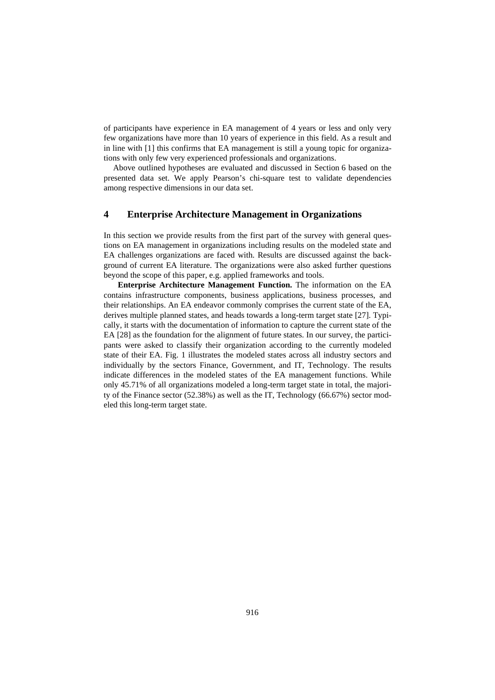of participants have experience in EA management of 4 years or less and only very few organizations have more than 10 years of experience in this field. As a result and in line with [1] this confirms that EA management is still a young topic for organizations with only few very experienced professionals and organizations.

Above outlined hypotheses are evaluated and discussed in Section 6 based on the presented data set. We apply Pearson's chi-square test to validate dependencies among respective dimensions in our data set.

# **4 Enterprise Architecture Management in Organizations**

In this section we provide results from the first part of the survey with general questions on EA management in organizations including results on the modeled state and EA challenges organizations are faced with. Results are discussed against the background of current EA literature. The organizations were also asked further questions beyond the scope of this paper, e.g. applied frameworks and tools.

**Enterprise Architecture Management Function.** The information on the EA contains infrastructure components, business applications, business processes, and their relationships. An EA endeavor commonly comprises the current state of the EA, derives multiple planned states, and heads towards a long-term target state [27]. Typically, it starts with the documentation of information to capture the current state of the EA [28] as the foundation for the alignment of future states. In our survey, the participants were asked to classify their organization according to the currently modeled state of their EA. Fig. 1 illustrates the modeled states across all industry sectors and individually by the sectors Finance, Government, and IT, Technology. The results indicate differences in the modeled states of the EA management functions. While only 45.71% of all organizations modeled a long-term target state in total, the majority of the Finance sector (52.38%) as well as the IT, Technology (66.67%) sector modeled this long-term target state.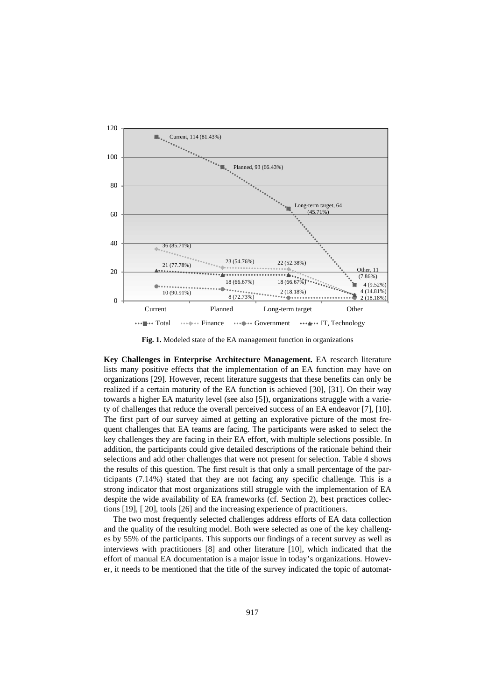

**Fig. 1.** Modeled state of the EA management function in organizations

**Key Challenges in Enterprise Architecture Management.** EA research literature lists many positive effects that the implementation of an EA function may have on organizations [29]. However, recent literature suggests that these benefits can only be realized if a certain maturity of the EA function is achieved [30], [31]. On their way towards a higher EA maturity level (see also [5]), organizations struggle with a variety of challenges that reduce the overall perceived success of an EA endeavor [7], [10]. The first part of our survey aimed at getting an explorative picture of the most frequent challenges that EA teams are facing. The participants were asked to select the key challenges they are facing in their EA effort, with multiple selections possible. In addition, the participants could give detailed descriptions of the rationale behind their selections and add other challenges that were not present for selection. Table 4 shows the results of this question. The first result is that only a small percentage of the participants (7.14%) stated that they are not facing any specific challenge. This is a strong indicator that most organizations still struggle with the implementation of EA despite the wide availability of EA frameworks (cf. Section 2), best practices collections [19], [ 20], tools [26] and the increasing experience of practitioners.

The two most frequently selected challenges address efforts of EA data collection and the quality of the resulting model. Both were selected as one of the key challenges by 55% of the participants. This supports our findings of a recent survey as well as interviews with practitioners [8] and other literature [10], which indicated that the effort of manual EA documentation is a major issue in today's organizations. However, it needs to be mentioned that the title of the survey indicated the topic of automat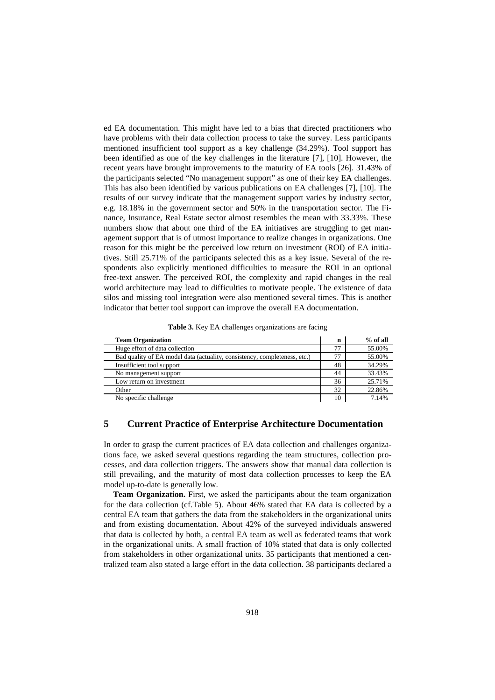ed EA documentation. This might have led to a bias that directed practitioners who have problems with their data collection process to take the survey. Less participants mentioned insufficient tool support as a key challenge (34.29%). Tool support has been identified as one of the key challenges in the literature [7], [10]. However, the recent years have brought improvements to the maturity of EA tools [26]. 31.43% of the participants selected "No management support" as one of their key EA challenges. This has also been identified by various publications on EA challenges [7], [10]. The results of our survey indicate that the management support varies by industry sector, e.g. 18.18% in the government sector and 50% in the transportation sector. The Finance, Insurance, Real Estate sector almost resembles the mean with 33.33%. These numbers show that about one third of the EA initiatives are struggling to get management support that is of utmost importance to realize changes in organizations. One reason for this might be the perceived low return on investment (ROI) of EA initiatives. Still 25.71% of the participants selected this as a key issue. Several of the respondents also explicitly mentioned difficulties to measure the ROI in an optional free-text answer. The perceived ROI, the complexity and rapid changes in the real world architecture may lead to difficulties to motivate people. The existence of data silos and missing tool integration were also mentioned several times. This is another indicator that better tool support can improve the overall EA documentation.

**Table 3.** Key EA challenges organizations are facing

| <b>Team Organization</b>                                                  | n  | $%$ of all |
|---------------------------------------------------------------------------|----|------------|
| Huge effort of data collection                                            | 77 | 55.00%     |
| Bad quality of EA model data (actuality, consistency, completeness, etc.) | 77 | 55.00%     |
| Insufficient tool support                                                 | 48 | 34.29%     |
| No management support                                                     | 44 | 33.43%     |
| Low return on investment                                                  | 36 | 25.71%     |
| Other                                                                     | 32 | 22.86%     |
| No specific challenge                                                     | 10 | 7.14%      |

# **5 Current Practice of Enterprise Architecture Documentation**

In order to grasp the current practices of EA data collection and challenges organizations face, we asked several questions regarding the team structures, collection processes, and data collection triggers. The answers show that manual data collection is still prevailing, and the maturity of most data collection processes to keep the EA model up-to-date is generally low.

**Team Organization.** First, we asked the participants about the team organization for the data collection (cf.Table 5). About 46% stated that EA data is collected by a central EA team that gathers the data from the stakeholders in the organizational units and from existing documentation. About 42% of the surveyed individuals answered that data is collected by both, a central EA team as well as federated teams that work in the organizational units. A small fraction of 10% stated that data is only collected from stakeholders in other organizational units. 35 participants that mentioned a centralized team also stated a large effort in the data collection. 38 participants declared a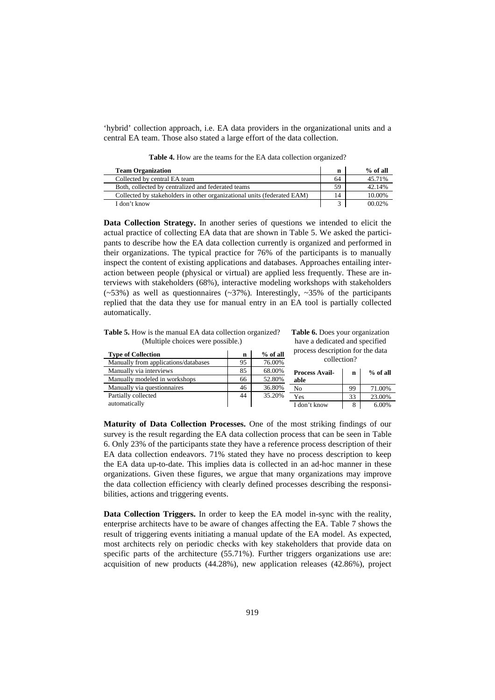'hybrid' collection approach, i.e. EA data providers in the organizational units and a central EA team. Those also stated a large effort of the data collection.

**Table 4.** How are the teams for the EA data collection organized?

| <b>Team Organization</b>                                                | n  | % of all |
|-------------------------------------------------------------------------|----|----------|
| Collected by central EA team                                            | 64 | 45.71%   |
| Both, collected by centralized and federated teams                      | 59 | 42.14%   |
| Collected by stakeholders in other organizational units (federated EAM) | 14 | 10.00%   |
| I don't know                                                            |    | 00.02%   |

**Data Collection Strategy.** In another series of questions we intended to elicit the actual practice of collecting EA data that are shown in Table 5. We asked the participants to describe how the EA data collection currently is organized and performed in their organizations. The typical practice for 76% of the participants is to manually inspect the content of existing applications and databases. Approaches entailing interaction between people (physical or virtual) are applied less frequently. These are interviews with stakeholders (68%), interactive modeling workshops with stakeholders  $(\sim 53\%)$  as well as questionnaires  $(\sim 37\%)$ . Interestingly,  $\sim 35\%$  of the participants replied that the data they use for manual entry in an EA tool is partially collected automatically.

**Table 5.** How is the manual EA data collection organized? (Multiple choices were possible.)

**Type of Collection n n**  $\%$  of all

**Table 6.** Does your organization have a dedicated and specified process description for the data

| $%$ of all |
|------------|
|            |
| 71.00%     |
| 23.00%     |
| 6.00%      |
|            |

**Maturity of Data Collection Processes.** One of the most striking findings of our survey is the result regarding the EA data collection process that can be seen in Table 6. Only 23% of the participants state they have a reference process description of their EA data collection endeavors. 71% stated they have no process description to keep the EA data up-to-date. This implies data is collected in an ad-hoc manner in these organizations. Given these figures, we argue that many organizations may improve the data collection efficiency with clearly defined processes describing the responsibilities, actions and triggering events.

**Data Collection Triggers.** In order to keep the EA model in-sync with the reality, enterprise architects have to be aware of changes affecting the EA. Table 7 shows the result of triggering events initiating a manual update of the EA model. As expected, most architects rely on periodic checks with key stakeholders that provide data on specific parts of the architecture (55.71%). Further triggers organizations use are: acquisition of new products (44.28%), new application releases (42.86%), project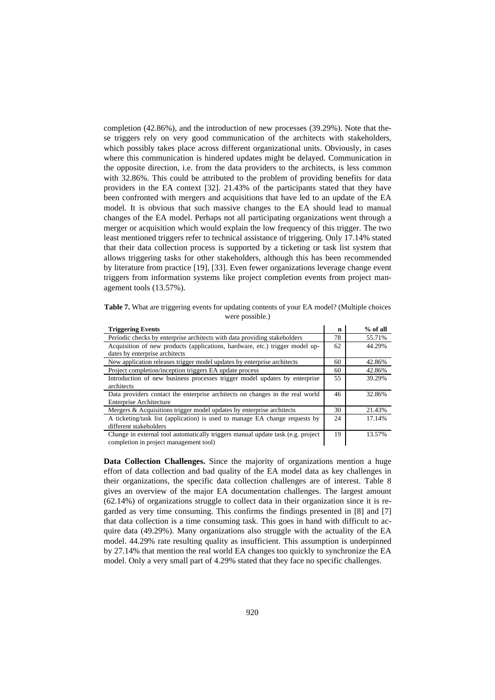completion (42.86%), and the introduction of new processes (39.29%). Note that these triggers rely on very good communication of the architects with stakeholders, which possibly takes place across different organizational units. Obviously, in cases where this communication is hindered updates might be delayed. Communication in the opposite direction, i.e. from the data providers to the architects, is less common with 32.86%. This could be attributed to the problem of providing benefits for data providers in the EA context [32]. 21.43% of the participants stated that they have been confronted with mergers and acquisitions that have led to an update of the EA model. It is obvious that such massive changes to the EA should lead to manual changes of the EA model. Perhaps not all participating organizations went through a merger or acquisition which would explain the low frequency of this trigger. The two least mentioned triggers refer to technical assistance of triggering. Only 17.14% stated that their data collection process is supported by a ticketing or task list system that allows triggering tasks for other stakeholders, although this has been recommended by literature from practice [19], [33]. Even fewer organizations leverage change event triggers from information systems like project completion events from project management tools (13.57%).

**Table 7.** What are triggering events for updating contents of your EA model? (Multiple choices were possible.)

| <b>Triggering Events</b>                                                        | n  | $%$ of all |
|---------------------------------------------------------------------------------|----|------------|
| Periodic checks by enterprise architects with data providing stakeholders       | 78 | 55.71%     |
| Acquisition of new products (applications, hardware, etc.) trigger model up-    | 62 | 44.29%     |
| dates by enterprise architects                                                  |    |            |
| New application releases trigger model updates by enterprise architects         | 60 | 42.86%     |
| Project completion/inception triggers EA update process                         | 60 | 42.86%     |
| Introduction of new business processes trigger model updates by enterprise      | 55 | 39.29%     |
| architects                                                                      |    |            |
| Data providers contact the enterprise architects on changes in the real world   | 46 | 32.86%     |
| <b>Enterprise Architecture</b>                                                  |    |            |
| Mergers & Acquisitions trigger model updates by enterprise architects           | 30 | 21.43%     |
| A ticketing/task list (application) is used to manage EA change requests by     | 24 | 17.14%     |
| different stakeholders                                                          |    |            |
| Change in external tool automatically triggers manual update task (e.g. project | 19 | 13.57%     |
| completion in project management tool)                                          |    |            |

completion in project management tool)

**Data Collection Challenges.** Since the majority of organizations mention a huge effort of data collection and bad quality of the EA model data as key challenges in their organizations, the specific data collection challenges are of interest. Table 8 gives an overview of the major EA documentation challenges. The largest amount (62.14%) of organizations struggle to collect data in their organization since it is regarded as very time consuming. This confirms the findings presented in [8] and [7] that data collection is a time consuming task. This goes in hand with difficult to acquire data (49.29%). Many organizations also struggle with the actuality of the EA model. 44.29% rate resulting quality as insufficient. This assumption is underpinned by 27.14% that mention the real world EA changes too quickly to synchronize the EA model. Only a very small part of 4.29% stated that they face no specific challenges.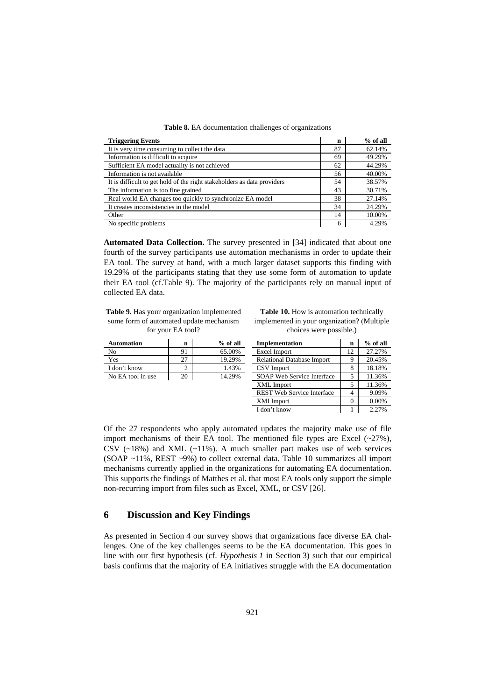|  | Table 8. EA documentation challenges of organizations |  |  |
|--|-------------------------------------------------------|--|--|
|  |                                                       |  |  |

| <b>Triggering Events</b>                                                | n  | $%$ of all |
|-------------------------------------------------------------------------|----|------------|
| It is very time consuming to collect the data                           | 87 | 62.14%     |
| Information is difficult to acquire                                     | 69 | 49.29%     |
| Sufficient EA model actuality is not achieved                           | 62 | 44.29%     |
| Information is not available                                            | 56 | 40.00%     |
| It is difficult to get hold of the right stakeholders as data providers | 54 | 38.57%     |
| The information is too fine grained                                     | 43 | 30.71%     |
| Real world EA changes too quickly to synchronize EA model               | 38 | 27.14%     |
| It creates inconsistencies in the model                                 | 34 | 24.29%     |
| Other                                                                   | 14 | 10.00%     |
| No specific problems                                                    | 6  | 4.29%      |

**Automated Data Collection.** The survey presented in [34] indicated that about one fourth of the survey participants use automation mechanisms in order to update their EA tool. The survey at hand, with a much larger dataset supports this finding with 19.29% of the participants stating that they use some form of automation to update their EA tool (cf.Table 9). The majority of the participants rely on manual input of collected EA data.

**Table 9.** Has your organization implemented some form of automated update mechanism for your EA tool?

**Table 10.** How is automation technically implemented in your organization? (Multiple choices were possible.)

| <b>Automation</b> | n  | $%$ of all | <b>Implementation</b>             | n        | $%$ of all |
|-------------------|----|------------|-----------------------------------|----------|------------|
| N <sub>0</sub>    | 91 | 65.00%     | Excel Import                      | 12       | 27.27%     |
| Yes               | 27 | 19.29%     | <b>Relational Database Import</b> | Q        | 20.45%     |
| I don't know      | 2  | 1.43%      | CSV Import                        | 8        | 18.18%     |
| No EA tool in use | 20 | 14.29%     | SOAP Web Service Interface        |          | 11.36%     |
|                   |    |            | XML Import                        | 5        | 11.36%     |
|                   |    |            | <b>REST Web Service Interface</b> | 4        | 9.09%      |
|                   |    |            | XMI Import                        | $\theta$ | $0.00\%$   |
|                   |    |            | I don't know                      |          | 2.27%      |

Of the 27 respondents who apply automated updates the majority make use of file import mechanisms of their EA tool. The mentioned file types are Excel  $(-27%)$ , CSV  $(\sim18\%)$  and XML  $(\sim11\%)$ . A much smaller part makes use of web services (SOAP ~11%, REST ~9%) to collect external data. Table 10 summarizes all import mechanisms currently applied in the organizations for automating EA documentation. This supports the findings of Matthes et al. that most EA tools only support the simple non-recurring import from files such as Excel, XML, or CSV [26].

## **6 Discussion and Key Findings**

As presented in Section 4 our survey shows that organizations face diverse EA challenges. One of the key challenges seems to be the EA documentation. This goes in line with our first hypothesis (cf. *Hypothesis 1* in Section 3) such that our empirical basis confirms that the majority of EA initiatives struggle with the EA documentation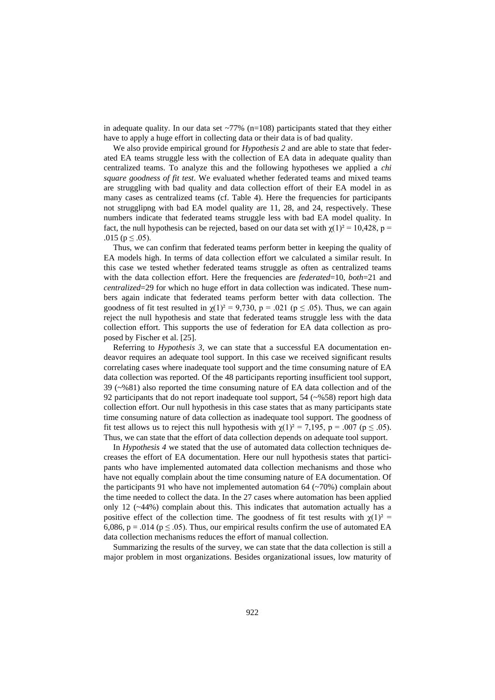in adequate quality. In our data set  $\sim$ 77% (n=108) participants stated that they either have to apply a huge effort in collecting data or their data is of bad quality.

We also provide empirical ground for *Hypothesis 2* and are able to state that federated EA teams struggle less with the collection of EA data in adequate quality than centralized teams. To analyze this and the following hypotheses we applied a *chi square goodness of fit test*. We evaluated whether federated teams and mixed teams are struggling with bad quality and data collection effort of their EA model in as many cases as centralized teams (cf. Table 4). Here the frequencies for participants not strugglipng with bad EA model quality are 11, 28, and 24, respectively. These numbers indicate that federated teams struggle less with bad EA model quality. In fact, the null hypothesis can be rejected, based on our data set with  $\chi(1)^2 = 10,428$ , p = .015 ( $p \leq .05$ ).

Thus, we can confirm that federated teams perform better in keeping the quality of EA models high. In terms of data collection effort we calculated a similar result. In this case we tested whether federated teams struggle as often as centralized teams with the data collection effort. Here the frequencies are *federated*=10, *both*=21 and *centralized*=29 for which no huge effort in data collection was indicated. These numbers again indicate that federated teams perform better with data collection. The goodness of fit test resulted in  $\gamma(1)^2 = 9{,}730$ ,  $p = .021$  ( $p \le .05$ ). Thus, we can again reject the null hypothesis and state that federated teams struggle less with the data collection effort. This supports the use of federation for EA data collection as proposed by Fischer et al. [25].

Referring to *Hypothesis 3,* we can state that a successful EA documentation endeavor requires an adequate tool support. In this case we received significant results correlating cases where inadequate tool support and the time consuming nature of EA data collection was reported. Of the 48 participants reporting insufficient tool support, 39 (~%81) also reported the time consuming nature of EA data collection and of the 92 participants that do not report inadequate tool support, 54 (~%58) report high data collection effort. Our null hypothesis in this case states that as many participants state time consuming nature of data collection as inadequate tool support. The goodness of fit test allows us to reject this null hypothesis with  $\chi(1)^2 = 7,195$ , p = .007 (p  $\leq$  .05). Thus, we can state that the effort of data collection depends on adequate tool support.

In *Hypothesis 4* we stated that the use of automated data collection techniques decreases the effort of EA documentation. Here our null hypothesis states that participants who have implemented automated data collection mechanisms and those who have not equally complain about the time consuming nature of EA documentation. Of the participants 91 who have not implemented automation  $64$  ( $\sim$ 70%) complain about the time needed to collect the data. In the 27 cases where automation has been applied only 12 (~44%) complain about this. This indicates that automation actually has a positive effect of the collection time. The goodness of fit test results with  $\chi(1)^2$  = 6,086,  $p = .014$  ( $p \le .05$ ). Thus, our empirical results confirm the use of automated EA data collection mechanisms reduces the effort of manual collection.

Summarizing the results of the survey, we can state that the data collection is still a major problem in most organizations. Besides organizational issues, low maturity of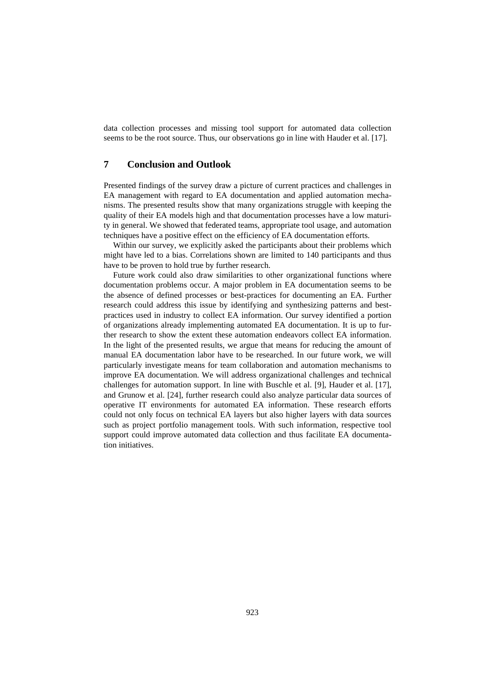data collection processes and missing tool support for automated data collection seems to be the root source. Thus, our observations go in line with Hauder et al. [17].

## **7 Conclusion and Outlook**

Presented findings of the survey draw a picture of current practices and challenges in EA management with regard to EA documentation and applied automation mechanisms. The presented results show that many organizations struggle with keeping the quality of their EA models high and that documentation processes have a low maturity in general. We showed that federated teams, appropriate tool usage, and automation techniques have a positive effect on the efficiency of EA documentation efforts.

Within our survey, we explicitly asked the participants about their problems which might have led to a bias. Correlations shown are limited to 140 participants and thus have to be proven to hold true by further research.

Future work could also draw similarities to other organizational functions where documentation problems occur. A major problem in EA documentation seems to be the absence of defined processes or best-practices for documenting an EA. Further research could address this issue by identifying and synthesizing patterns and bestpractices used in industry to collect EA information. Our survey identified a portion of organizations already implementing automated EA documentation. It is up to further research to show the extent these automation endeavors collect EA information. In the light of the presented results, we argue that means for reducing the amount of manual EA documentation labor have to be researched. In our future work, we will particularly investigate means for team collaboration and automation mechanisms to improve EA documentation. We will address organizational challenges and technical challenges for automation support. In line with Buschle et al. [9], Hauder et al. [17], and Grunow et al. [24], further research could also analyze particular data sources of operative IT environments for automated EA information. These research efforts could not only focus on technical EA layers but also higher layers with data sources such as project portfolio management tools. With such information, respective tool support could improve automated data collection and thus facilitate EA documentation initiatives.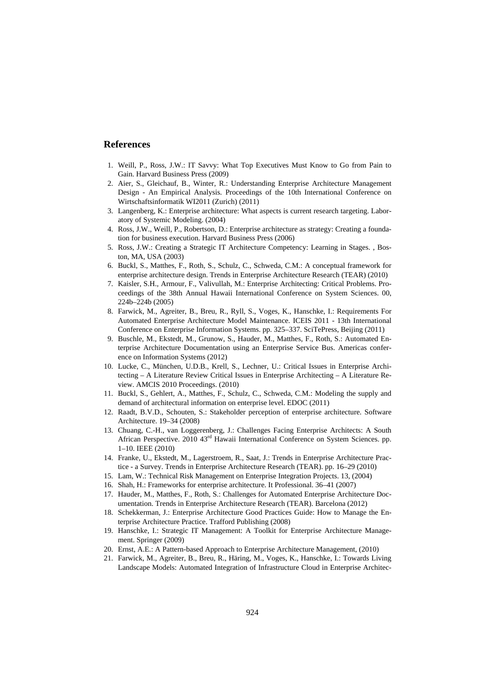#### **References**

- 1. Weill, P., Ross, J.W.: IT Savvy: What Top Executives Must Know to Go from Pain to Gain. Harvard Business Press (2009)
- 2. Aier, S., Gleichauf, B., Winter, R.: Understanding Enterprise Architecture Management Design - An Empirical Analysis. Proceedings of the 10th International Conference on Wirtschaftsinformatik WI2011 (Zurich) (2011)
- 3. Langenberg, K.: Enterprise architecture: What aspects is current research targeting. Laboratory of Systemic Modeling. (2004)
- 4. Ross, J.W., Weill, P., Robertson, D.: Enterprise architecture as strategy: Creating a foundation for business execution. Harvard Business Press (2006)
- 5. Ross, J.W.: Creating a Strategic IT Architecture Competency: Learning in Stages. , Boston, MA, USA (2003)
- 6. Buckl, S., Matthes, F., Roth, S., Schulz, C., Schweda, C.M.: A conceptual framework for enterprise architecture design. Trends in Enterprise Architecture Research (TEAR) (2010)
- 7. Kaisler, S.H., Armour, F., Valivullah, M.: Enterprise Architecting: Critical Problems. Proceedings of the 38th Annual Hawaii International Conference on System Sciences. 00, 224b–224b (2005)
- 8. Farwick, M., Agreiter, B., Breu, R., Ryll, S., Voges, K., Hanschke, I.: Requirements For Automated Enterprise Architecture Model Maintenance. ICEIS 2011 - 13th International Conference on Enterprise Information Systems. pp. 325–337. SciTePress, Beijing (2011)
- 9. Buschle, M., Ekstedt, M., Grunow, S., Hauder, M., Matthes, F., Roth, S.: Automated Enterprise Architecture Documentation using an Enterprise Service Bus. Americas conference on Information Systems (2012)
- 10. Lucke, C., München, U.D.B., Krell, S., Lechner, U.: Critical Issues in Enterprise Architecting – A Literature Review Critical Issues in Enterprise Architecting – A Literature Review. AMCIS 2010 Proceedings. (2010)
- 11. Buckl, S., Gehlert, A., Matthes, F., Schulz, C., Schweda, C.M.: Modeling the supply and demand of architectural information on enterprise level. EDOC (2011)
- 12. Raadt, B.V.D., Schouten, S.: Stakeholder perception of enterprise architecture. Software Architecture. 19–34 (2008)
- 13. Chuang, C.-H., van Loggerenberg, J.: Challenges Facing Enterprise Architects: A South African Perspective. 2010 43rd Hawaii International Conference on System Sciences. pp. 1–10. IEEE (2010)
- 14. Franke, U., Ekstedt, M., Lagerstroem, R., Saat, J.: Trends in Enterprise Architecture Practice - a Survey. Trends in Enterprise Architecture Research (TEAR). pp. 16–29 (2010)
- 15. Lam, W.: Technical Risk Management on Enterprise Integration Projects. 13, (2004)
- 16. Shah, H.: Frameworks for enterprise architecture. It Professional. 36–41 (2007)
- 17. Hauder, M., Matthes, F., Roth, S.: Challenges for Automated Enterprise Architecture Documentation. Trends in Enterprise Architecture Research (TEAR). Barcelona (2012)
- 18. Schekkerman, J.: Enterprise Architecture Good Practices Guide: How to Manage the Enterprise Architecture Practice. Trafford Publishing (2008)
- 19. Hanschke, I.: Strategic IT Management: A Toolkit for Enterprise Architecture Management. Springer (2009)
- 20. Ernst, A.E.: A Pattern-based Approach to Enterprise Architecture Management, (2010)
- 21. Farwick, M., Agreiter, B., Breu, R., Häring, M., Voges, K., Hanschke, I.: Towards Living Landscape Models: Automated Integration of Infrastructure Cloud in Enterprise Architec-